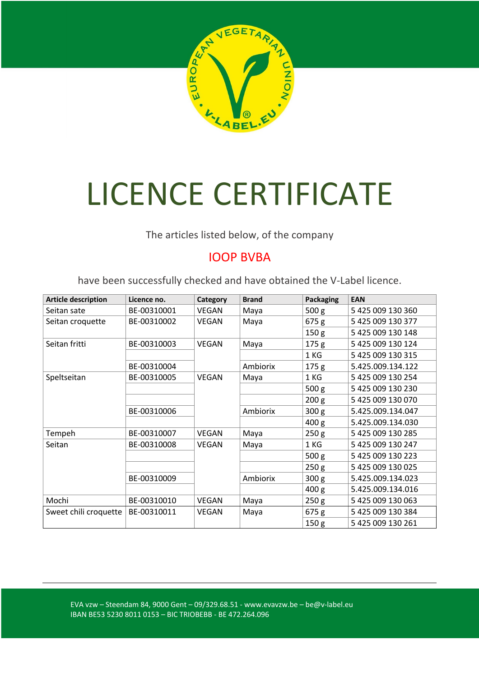

## LICENCE CERTIFICATE

The articles listed below, of the company

## IOOP BVBA

have been successfully checked and have obtained the V-Label licence.

| <b>Article description</b> | Licence no. | Category     | <b>Brand</b> | Packaging        | <b>EAN</b>        |
|----------------------------|-------------|--------------|--------------|------------------|-------------------|
| Seitan sate                | BE-00310001 | VEGAN        | Maya         | 500 <sub>g</sub> | 5 425 009 130 360 |
| Seitan croquette           | BE-00310002 | VEGAN        | Maya         | 675g             | 5 425 009 130 377 |
|                            |             |              |              | 150 <sub>g</sub> | 5 425 009 130 148 |
| Seitan fritti              | BE-00310003 | <b>VEGAN</b> | Maya         | 175 <sub>g</sub> | 5 425 009 130 124 |
|                            |             |              |              | 1 KG             | 5 425 009 130 315 |
|                            | BE-00310004 |              | Ambiorix     | 175 <sub>g</sub> | 5.425.009.134.122 |
| Speltseitan                | BE-00310005 | <b>VEGAN</b> | Maya         | 1 KG             | 5 425 009 130 254 |
|                            |             |              |              | 500 <sub>g</sub> | 5 425 009 130 230 |
|                            |             |              |              | 200 <sub>g</sub> | 5 425 009 130 070 |
|                            | BE-00310006 |              | Ambiorix     | 300 <sub>g</sub> | 5.425.009.134.047 |
|                            |             |              |              | 400 <sub>g</sub> | 5.425.009.134.030 |
| Tempeh                     | BE-00310007 | <b>VEGAN</b> | Maya         | 250 <sub>g</sub> | 5 425 009 130 285 |
| Seitan                     | BE-00310008 | VEGAN        | Maya         | 1 KG             | 5 425 009 130 247 |
|                            |             |              |              | 500 <sub>g</sub> | 5 425 009 130 223 |
|                            |             |              |              | 250 <sub>g</sub> | 5 425 009 130 025 |
|                            | BE-00310009 |              | Ambiorix     | 300 <sub>g</sub> | 5.425.009.134.023 |
|                            |             |              |              | 400 <sub>g</sub> | 5.425.009.134.016 |
| Mochi                      | BE-00310010 | VEGAN        | Maya         | 250 <sub>g</sub> | 5 425 009 130 063 |
| Sweet chili croquette      | BE-00310011 | VEGAN        | Maya         | 675g             | 5 425 009 130 384 |
|                            |             |              |              | 150 <sub>g</sub> | 5 425 009 130 261 |